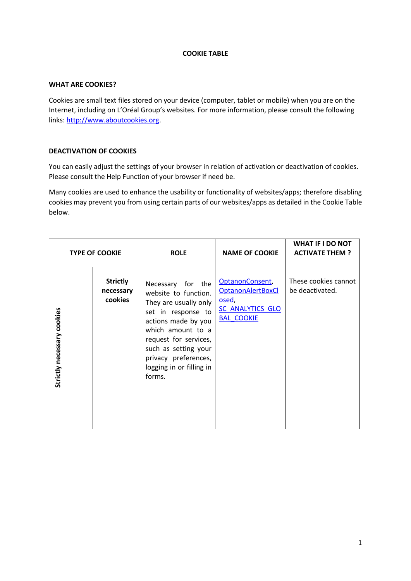## **COOKIE TABLE**

## **WHAT ARE COOKIES?**

Cookies are small text files stored on your device (computer, tablet or mobile) when you are on the Internet, including on L'Oréal Group's websites. For more information, please consult the following links: [http://www.aboutcookies.org.](http://www.aboutcookies.org/)

## **DEACTIVATION OF COOKIES**

You can easily adjust the settings of your browser in relation of activation or deactivation of cookies. Please consult the Help Function of your browser if need be.

Many cookies are used to enhance the usability or functionality of websites/apps; therefore disabling cookies may prevent you from using certain parts of our websites/apps as detailed in the Cookie Table below.

| <b>TYPE OF COOKIE</b>      |                                         | <b>ROLE</b>                                                                                                                                                                                                                                         | <b>NAME OF COOKIE</b>                                                                                        | <b>WHAT IF I DO NOT</b><br><b>ACTIVATE THEM?</b> |
|----------------------------|-----------------------------------------|-----------------------------------------------------------------------------------------------------------------------------------------------------------------------------------------------------------------------------------------------------|--------------------------------------------------------------------------------------------------------------|--------------------------------------------------|
| Strictly necessary cookies | <b>Strictly</b><br>necessary<br>cookies | Necessary for the<br>website to function.<br>They are usually only<br>set in response to<br>actions made by you<br>which amount to a<br>request for services,<br>such as setting your<br>privacy preferences,<br>logging in or filling in<br>forms. | OptanonConsent,<br><b>OptanonAlertBoxCl</b><br><u>osed</u> ,<br><b>SC ANALYTICS GLO</b><br><b>BAL_COOKIE</b> | These cookies cannot<br>be deactivated.          |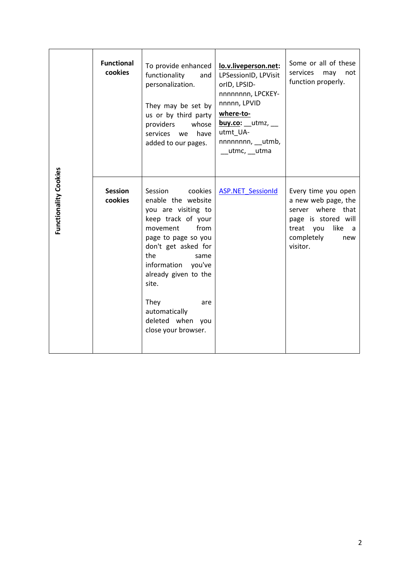| Functionality Cookies | <b>Functional</b><br>cookies | To provide enhanced<br>functionality<br>and<br>personalization.<br>They may be set by<br>us or by third party<br>providers<br>whose<br>services we<br>have<br>added to our pages.                                                                                                                        | lo.v.liveperson.net:<br>LPSessionID, LPVisit<br>orlD, LPSID-<br>nnnnnnnn, LPCKEY-<br>nnnnn, LPVID<br>where-to-<br>$buy.co:$ __utmz, __<br>utmt UA-<br>nnnnnnnn, utmb,<br>__utmc, __utma | Some or all of these<br>services<br>may<br>not<br>function properly.                                                                                |
|-----------------------|------------------------------|----------------------------------------------------------------------------------------------------------------------------------------------------------------------------------------------------------------------------------------------------------------------------------------------------------|-----------------------------------------------------------------------------------------------------------------------------------------------------------------------------------------|-----------------------------------------------------------------------------------------------------------------------------------------------------|
|                       | <b>Session</b><br>cookies    | Session<br>cookies<br>enable the website<br>you are visiting to<br>keep track of your<br>from<br>movement<br>page to page so you<br>don't get asked for<br>the<br>same<br>information you've<br>already given to the<br>site.<br>They<br>are<br>automatically<br>deleted when you<br>close your browser. | <b>ASP.NET SessionId</b>                                                                                                                                                                | Every time you open<br>a new web page, the<br>server where that<br>page is stored will<br>treat you<br>like<br>a a<br>completely<br>new<br>visitor. |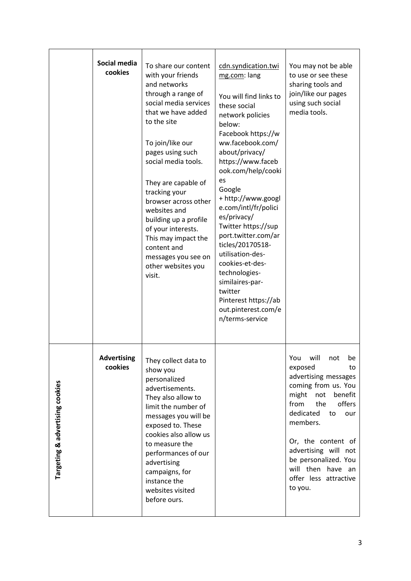|                                 | Social media<br>cookies       | To share our content<br>with your friends<br>and networks<br>through a range of<br>social media services<br>that we have added<br>to the site<br>To join/like our<br>pages using such<br>social media tools.<br>They are capable of<br>tracking your<br>browser across other<br>websites and<br>building up a profile<br>of your interests.<br>This may impact the<br>content and<br>messages you see on<br>other websites you<br>visit. | cdn.syndication.twi<br>mg.com: lang<br>You will find links to<br>these social<br>network policies<br>below:<br>Facebook https://w<br>ww.facebook.com/<br>about/privacy/<br>https://www.faceb<br>ook.com/help/cooki<br>es<br>Google<br>+ http://www.googl<br>e.com/intl/fr/polici<br>es/privacy/<br>Twitter https://sup<br>port.twitter.com/ar<br>ticles/20170518-<br>utilisation-des-<br>cookies-et-des-<br>technologies-<br>similaires-par-<br>twitter<br>Pinterest https://ab<br>out.pinterest.com/e<br>n/terms-service | You may not be able<br>to use or see these<br>sharing tools and<br>join/like our pages<br>using such social<br>media tools.                                                                                                                                                                                       |
|---------------------------------|-------------------------------|------------------------------------------------------------------------------------------------------------------------------------------------------------------------------------------------------------------------------------------------------------------------------------------------------------------------------------------------------------------------------------------------------------------------------------------|---------------------------------------------------------------------------------------------------------------------------------------------------------------------------------------------------------------------------------------------------------------------------------------------------------------------------------------------------------------------------------------------------------------------------------------------------------------------------------------------------------------------------|-------------------------------------------------------------------------------------------------------------------------------------------------------------------------------------------------------------------------------------------------------------------------------------------------------------------|
| Targeting & advertising cookies | <b>Advertising</b><br>cookies | They collect data to<br>show you<br>personalized<br>advertisements.<br>They also allow to<br>limit the number of<br>messages you will be<br>exposed to. These<br>cookies also allow us<br>to measure the<br>performances of our<br>advertising<br>campaigns, for<br>instance the<br>websites visited<br>before ours.                                                                                                                     |                                                                                                                                                                                                                                                                                                                                                                                                                                                                                                                           | will<br>You<br>not<br>be<br>exposed<br>to<br>advertising messages<br>coming from us. You<br>might<br>benefit<br>not<br>from<br>offers<br>the<br>dedicated<br>to<br>our<br>members.<br>Or, the content of<br>advertising will not<br>be personalized. You<br>will then have an<br>offer less attractive<br>to you. |